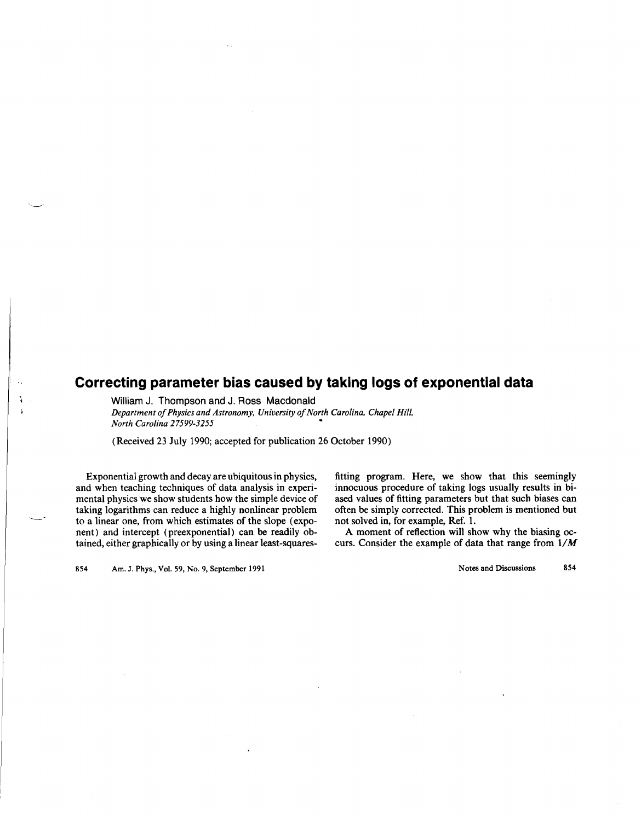## **Correcting parameter bias caused by taking logs of exponential data**

William J. Thompson and J. Ross Macdonald *Department of Physics and Astronomy, University of North Carolina, Chapel Hill, North Carolina 27599-3255* 

(Received 23 July 1990; accepted for publication 26 October 1990)

Exponential growth and decay are ubiquitous in physics, and when teaching techniques of data analysis in experimental physics we show students how the simple device of taking logarithms can reduce a highly nonlinear problem to a linear one, from which estimates of the slope (exponent) and intercept (preexponential) can be readily obtained, either graphically or by using a linear 1east-squaresfitting program. Here, we show that this seemingly innocuous procedure of taking logs usually results in biased values of fitting parameters but that such biases can often be simply corrected. This problem is mentioned but not solved in, for example, Ref. 1.

A moment of reflection will show why the biasing occurs. Consider the example of data that range from  $1/M$ 

854 Am. J. Phys., Vol. 59, No.9, September 1991

Notes and Discussions 854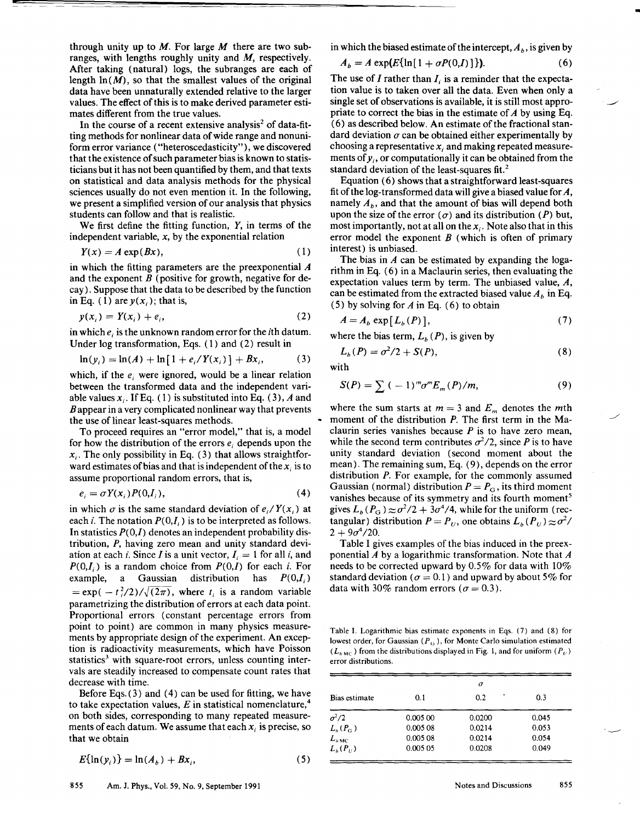through unity up to  $M$ . For large  $M$  there are two subranges, with lengths roughly unity and  $M$ , respectively. After taking (natural) logs, the subranges are each of length  $ln(M)$ , so that the smallest values of the original data have been unnaturally extended relative to the larger values. The effect of this is to make derived parameter estimates different from the true values.

In the course of a recent extensive analysis<sup>2</sup> of data-fitting methods for nonlinear data of wide range and nonuniform error variance ("heteroscedasticity"), we discovered that the existence of such parameter bias is known to statisticians but it has not been quantified by them, and that texts on statistical and data analysis methods for the physical sciences usually do not even mention it. In the following, we present a simplified version of our analysis that physics students can follow and that is realistic.

We first define the fitting function,  $Y$ , in terms of the independent variable, *x,* by the exponential relation

$$
Y(x) = A \exp(Bx), \tag{1}
$$

in which the fitting parameters are the preexponential *A*  and the exponent  $B$  (positive for growth, negative for decay). Suppose that the data to be described by the function in Eq. (1) are  $y(x_i)$ ; that is,

$$
y(x_i) = Y(x_i) + e_i,
$$
 (2)

in which  $e_i$  is the unknown random error for the *i*th datum. Under log transformation, Eqs. (I) and (2) result in

$$
\ln(y_i) = \ln(A) + \ln[1 + e_i/Y(x_i)] + Bx_i, \tag{3}
$$

which, if the  $e_i$  were ignored, would be a linear relation between the transformed data and the independent variable values  $x_i$ . If Eq. (1) is substituted into Eq. (3), *A* and  $B$  appear in a very complicated nonlinear way that prevents the use of linear least-squares methods.

To proceed requires an "error model," that is, a model for how the distribution of the errors  $e_i$  depends upon the  $x_i$ . The only possibility in Eq. (3) that allows straightforward estimates of bias and that is independent of the  $x_i$  is to assume proportional random errors, that is,

$$
e_i = \sigma Y(x_i) P(0, I_i), \tag{4}
$$

in which  $\sigma$  is the same standard deviation of  $e_i/Y(x_i)$  at each *i*. The notation  $P(0,I_i)$  is to be interpreted as follows. In statistics  $P(0,I)$  denotes an independent probability distribution, P, having zero mean and unity standard deviation at each *i*. Since *I* is a unit vector,  $I_i = 1$  for all *i*, and  $P(0,I_i)$  is a random choice from  $P(0,I)$  for each i. For example, a Gaussian distribution has *P(O,I;)*   $= \exp(-t_i^2/2)/\sqrt{(2\pi)}$ , where  $t_i$  is a random variable parametrizing the distribution of errors at each data point. Proportional errors (constant percentage errors from point to point) are common in many physics measurements by appropriate design of the experiment. An exception is radioactivity measurements, which have Poisson statistics<sup>3</sup> with square-root errors, unless counting intervals are steadily increased to compensate count rates that decrease with time.

Before Eqs. (3) and (4) can be used for fitting, we have to take expectation values, *E* in statistical nomenclature,<sup>4</sup> on both sides, corresponding to many repeated measurements of each datum. We assume that each *X;* is precise, so that we obtain

$$
E\{\ln(y_i)\} = \ln(A_b) + Bx_i,
$$
 (5)

in which the biased estimate of the intercept,  $A<sub>b</sub>$ , is given by

$$
A_b = A \exp\left(E\{\ln[1 + \sigma P(0,I)]\}\right). \tag{6}
$$

The use of  $I$  rather than  $I_i$  is a reminder that the expectation value is to taken over all the data. Even when only a single set of observations is available, it is still most appropriate to correct the bias in the estimate of *A* by using Eq. (6) as described below. An estimate of the fractional standard deviation  $\sigma$  can be obtained either experimentally by choosing a representative  $x_i$  and making repeated measurements of  $y_i$ , or computationally it can be obtained from the standard deviation of the least-squares fit. <sup>2</sup>

Equation (6) shows that a straightforward least-squares fit of the log-transformed data will give a biased value for  $A$ , namely  $A_b$ , and that the amount of bias will depend both upon the size of the error  $(\sigma)$  and its distribution (P) but, most importantly, not at all on the *x;.* Note also that in this error model the exponent  $B$  (which is often of primary interest) is unbiased.

The bias in *A* can be estimated by expanding the logarithm in Eq. (6) in a Maclaurin series, then evaluating the expectation values term by term. The unbiased value, A, can be estimated from the extracted biased value  $A_b$  in Eq. (5) by solving for *A* in Eq. (6) to obtain

$$
A = A_b \exp[L_b(P)], \qquad (7)
$$

where the bias term,  $L_b$  (P), is given by

$$
L_b(P) = \sigma^2/2 + S(P),\tag{8}
$$

with

$$
S(P) = \sum_{m=1}^{\infty} (-1)^m \sigma^m E_m(P)/m,
$$
 (9)

where the sum starts at  $m = 3$  and  $E_m$  denotes the *mth* moment of the distribution *P*. The first term in the Maclaurin series vanishes because *P* is to have zero mean, while the second term contributes  $\sigma^2/2$ , since *P* is to have unity standard deviation (second moment about the mean). The remaining sum, Eq. (9), depends on the error distribution P. For example, for the commonly assumed Gaussian (normal) distribution  $P = P_G$ , its third moment vanishes because of its symmetry and its fourth moment<sup>5</sup> gives  $L_b(P_G) \approx \sigma^2/2 + 3\sigma^4/4$ , while for the uniform (rectangular) distribution  $P = P_{U}$ , one obtains  $L_b(P_{U}) \approx \sigma^2$ /  $2 + 9\sigma^4/20$ .

Table I gives examples of the bias induced in the preexponential *A* by a logarithmic transformation. Note that *A*  needs to be corrected upward by 0.5% for data with 10% standard deviation ( $\sigma = 0.1$ ) and upward by about 5% for data with 30% random errors ( $\sigma = 0.3$ ).

Table I. Logarithmic bias estimate exponents in Eqs. (7) and (8) for lowest order, for Gaussian ( $P_G$ ), for Monte Carlo simulation estimated  $(L<sub>bMC</sub>)$  from the distributions displayed in Fig. 1, and for uniform  $(P<sub>U</sub>)$ error distributions.

| Bias estimate    | $\sigma$ |          |       |
|------------------|----------|----------|-------|
|                  | 0.1      | ٠<br>0.2 | 0.3   |
| $\sigma^2/2$     | 0.00500  | 0.0200   | 0.045 |
| $L_b(P_c)$       | 0.005 08 | 0.0214   | 0.053 |
| $L_{bMC}$        | 0.00508  | 0.0214   | 0.054 |
| $L_{h}(P_{\mu})$ | 0.005 05 | 0.0208   | 0.049 |